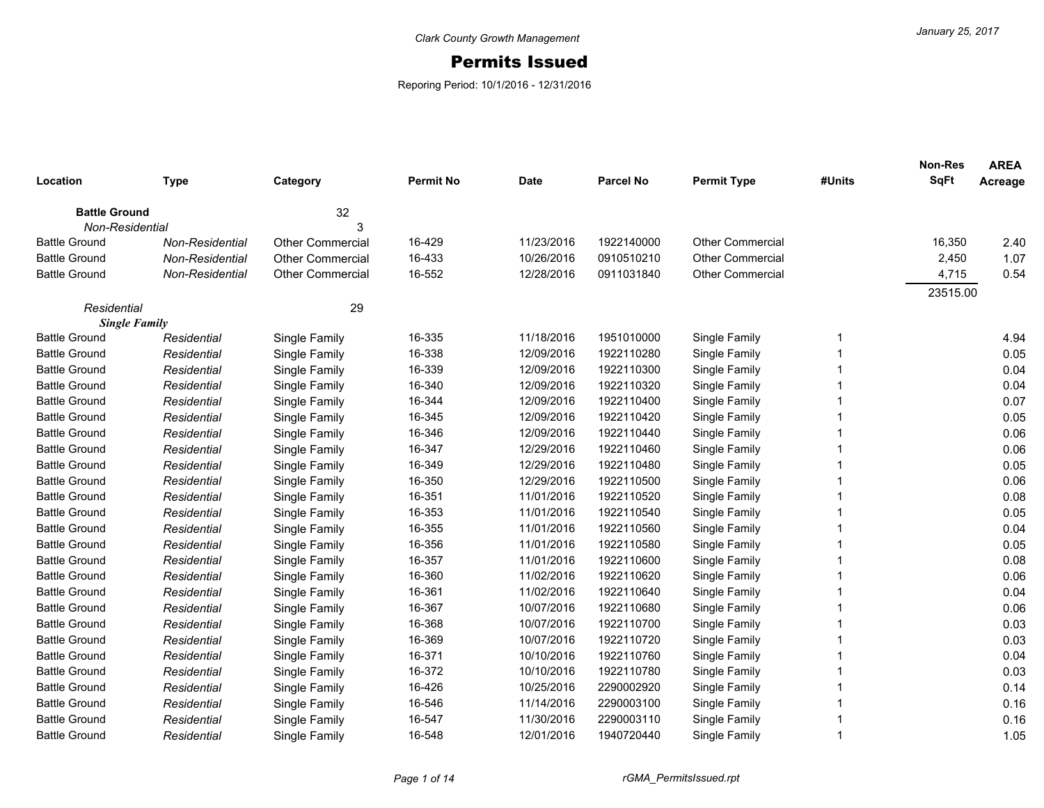## Permits Issued

Reporing Period: 10/1/2016 - 12/31/2016

| Location             | <b>Type</b>     | Category                | <b>Permit No</b> | <b>Date</b> | <b>Parcel No</b> | <b>Permit Type</b>      | #Units | <b>Non-Res</b><br><b>SqFt</b> | <b>AREA</b><br>Acreage |
|----------------------|-----------------|-------------------------|------------------|-------------|------------------|-------------------------|--------|-------------------------------|------------------------|
|                      |                 |                         |                  |             |                  |                         |        |                               |                        |
| <b>Battle Ground</b> |                 | 32                      |                  |             |                  |                         |        |                               |                        |
| Non-Residential      |                 | 3                       |                  |             |                  |                         |        |                               |                        |
| <b>Battle Ground</b> | Non-Residential | <b>Other Commercial</b> | 16-429           | 11/23/2016  | 1922140000       | <b>Other Commercial</b> |        | 16,350                        | 2.40                   |
| <b>Battle Ground</b> | Non-Residential | <b>Other Commercial</b> | 16-433           | 10/26/2016  | 0910510210       | <b>Other Commercial</b> |        | 2,450                         | 1.07                   |
| <b>Battle Ground</b> | Non-Residential | <b>Other Commercial</b> | 16-552           | 12/28/2016  | 0911031840       | <b>Other Commercial</b> |        | 4,715                         | 0.54                   |
| Residential          |                 | 29                      |                  |             |                  |                         |        | 23515.00                      |                        |
| <b>Single Family</b> |                 |                         |                  |             |                  |                         |        |                               |                        |
| <b>Battle Ground</b> | Residential     | Single Family           | 16-335           | 11/18/2016  | 1951010000       | Single Family           |        |                               | 4.94                   |
| <b>Battle Ground</b> | Residential     | Single Family           | 16-338           | 12/09/2016  | 1922110280       | Single Family           |        |                               | 0.05                   |
| <b>Battle Ground</b> | Residential     | Single Family           | 16-339           | 12/09/2016  | 1922110300       | Single Family           |        |                               | 0.04                   |
| <b>Battle Ground</b> | Residential     | Single Family           | 16-340           | 12/09/2016  | 1922110320       | Single Family           |        |                               | 0.04                   |
| <b>Battle Ground</b> | Residential     | Single Family           | 16-344           | 12/09/2016  | 1922110400       | Single Family           |        |                               | 0.07                   |
| <b>Battle Ground</b> | Residential     | Single Family           | 16-345           | 12/09/2016  | 1922110420       | Single Family           |        |                               | 0.05                   |
| <b>Battle Ground</b> | Residential     | Single Family           | 16-346           | 12/09/2016  | 1922110440       | Single Family           |        |                               | 0.06                   |
| <b>Battle Ground</b> | Residential     | Single Family           | 16-347           | 12/29/2016  | 1922110460       | Single Family           |        |                               | 0.06                   |
| <b>Battle Ground</b> | Residential     | Single Family           | 16-349           | 12/29/2016  | 1922110480       | Single Family           |        |                               | 0.05                   |
| <b>Battle Ground</b> | Residential     | Single Family           | 16-350           | 12/29/2016  | 1922110500       | Single Family           |        |                               | 0.06                   |
| <b>Battle Ground</b> | Residential     | Single Family           | 16-351           | 11/01/2016  | 1922110520       | Single Family           |        |                               | 0.08                   |
| <b>Battle Ground</b> | Residential     | Single Family           | 16-353           | 11/01/2016  | 1922110540       | Single Family           |        |                               | 0.05                   |
| <b>Battle Ground</b> | Residential     | Single Family           | 16-355           | 11/01/2016  | 1922110560       | Single Family           |        |                               | 0.04                   |
| <b>Battle Ground</b> | Residential     | Single Family           | 16-356           | 11/01/2016  | 1922110580       | Single Family           |        |                               | 0.05                   |
| <b>Battle Ground</b> | Residential     | Single Family           | 16-357           | 11/01/2016  | 1922110600       | Single Family           |        |                               | 0.08                   |
| <b>Battle Ground</b> | Residential     | Single Family           | 16-360           | 11/02/2016  | 1922110620       | Single Family           |        |                               | 0.06                   |
| <b>Battle Ground</b> | Residential     | Single Family           | 16-361           | 11/02/2016  | 1922110640       | Single Family           |        |                               | 0.04                   |
| <b>Battle Ground</b> | Residential     | Single Family           | 16-367           | 10/07/2016  | 1922110680       | Single Family           |        |                               | 0.06                   |
| <b>Battle Ground</b> | Residential     | Single Family           | 16-368           | 10/07/2016  | 1922110700       | Single Family           |        |                               | 0.03                   |
| <b>Battle Ground</b> | Residential     | Single Family           | 16-369           | 10/07/2016  | 1922110720       | Single Family           |        |                               | 0.03                   |
| <b>Battle Ground</b> | Residential     | Single Family           | 16-371           | 10/10/2016  | 1922110760       | Single Family           |        |                               | 0.04                   |
| <b>Battle Ground</b> | Residential     | Single Family           | 16-372           | 10/10/2016  | 1922110780       | Single Family           |        |                               | 0.03                   |
| <b>Battle Ground</b> | Residential     | Single Family           | 16-426           | 10/25/2016  | 2290002920       | Single Family           |        |                               | 0.14                   |
| <b>Battle Ground</b> | Residential     | Single Family           | 16-546           | 11/14/2016  | 2290003100       | Single Family           |        |                               | 0.16                   |
| <b>Battle Ground</b> | Residential     | Single Family           | 16-547           | 11/30/2016  | 2290003110       | Single Family           |        |                               | 0.16                   |
| <b>Battle Ground</b> | Residential     | Single Family           | 16-548           | 12/01/2016  | 1940720440       | Single Family           | 1      |                               | 1.05                   |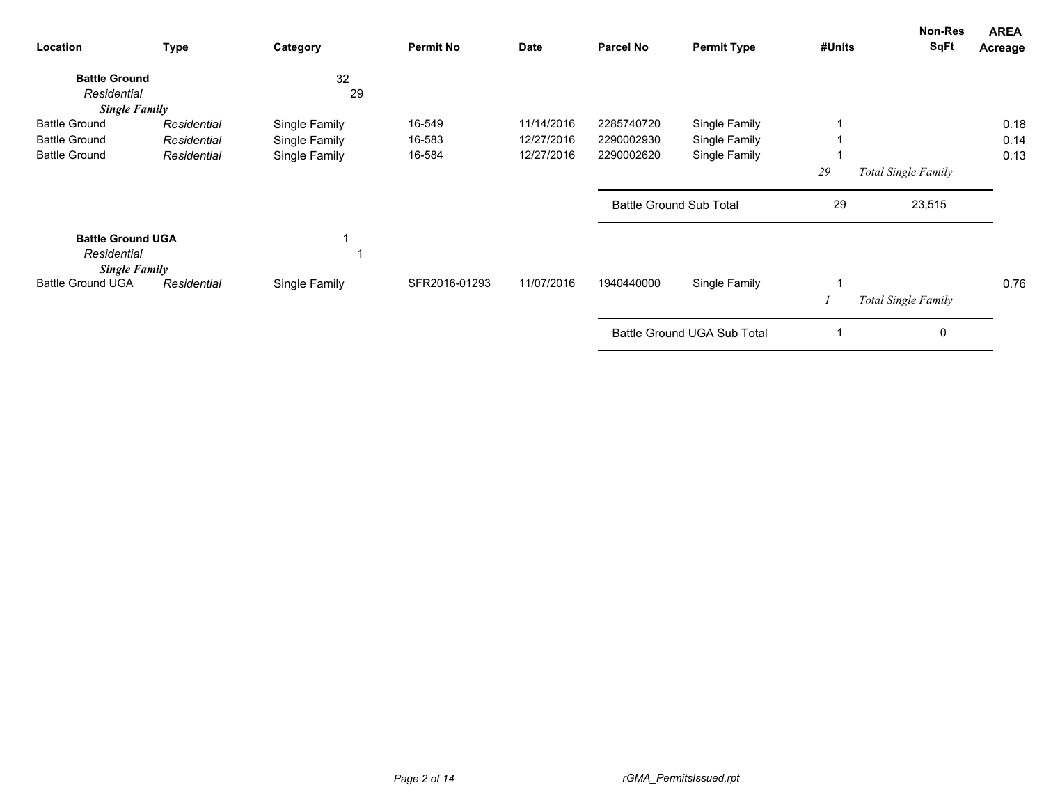| Location                                                        | <b>Type</b> | Category      | <b>Permit No</b> | Date       | <b>Parcel No</b> | <b>Permit Type</b>             | #Units | <b>Non-Res</b><br><b>SqFt</b> | <b>AREA</b><br>Acreage |
|-----------------------------------------------------------------|-------------|---------------|------------------|------------|------------------|--------------------------------|--------|-------------------------------|------------------------|
| <b>Battle Ground</b>                                            |             | 32            |                  |            |                  |                                |        |                               |                        |
| Residential                                                     |             | 29            |                  |            |                  |                                |        |                               |                        |
| <b>Single Family</b>                                            |             |               |                  |            |                  |                                |        |                               |                        |
| <b>Battle Ground</b>                                            | Residential | Single Family | 16-549           | 11/14/2016 | 2285740720       | Single Family                  |        |                               | 0.18                   |
| <b>Battle Ground</b>                                            | Residential | Single Family | 16-583           | 12/27/2016 | 2290002930       | Single Family                  |        |                               | 0.14                   |
| <b>Battle Ground</b>                                            | Residential | Single Family | 16-584           | 12/27/2016 | 2290002620       | Single Family                  |        |                               | 0.13                   |
|                                                                 |             |               |                  |            |                  |                                | 29     | Total Single Family           |                        |
|                                                                 |             |               |                  |            |                  | <b>Battle Ground Sub Total</b> | 29     | 23,515                        |                        |
| <b>Battle Ground UGA</b><br>Residential<br><b>Single Family</b> |             |               |                  |            |                  |                                |        |                               |                        |
| <b>Battle Ground UGA</b>                                        | Residential | Single Family | SFR2016-01293    | 11/07/2016 | 1940440000       | Single Family                  |        |                               | 0.76                   |
|                                                                 |             |               |                  |            |                  |                                |        | Total Single Family           |                        |
|                                                                 |             |               |                  |            |                  | Battle Ground UGA Sub Total    |        | 0                             |                        |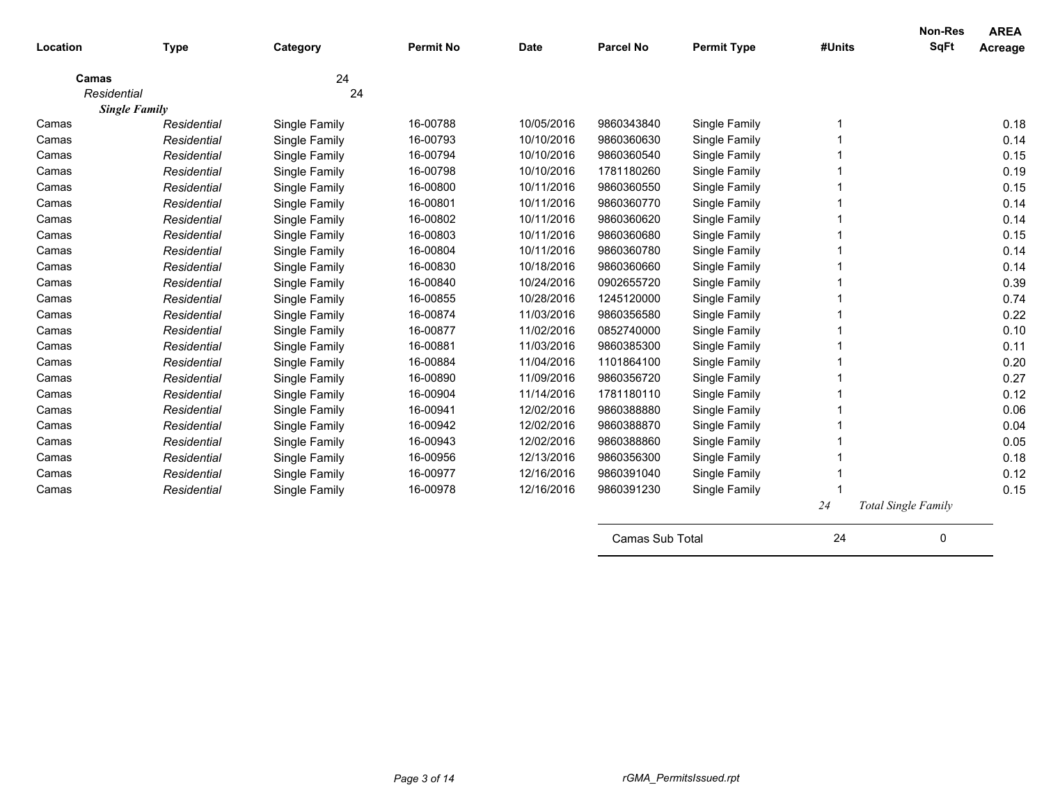| Location             | <b>Type</b>          | Category      | <b>Permit No</b> | <b>Date</b> | <b>Parcel No</b> | <b>Permit Type</b> | #Units | Non-Res<br><b>SqFt</b>     | <b>AREA</b><br>Acreage |
|----------------------|----------------------|---------------|------------------|-------------|------------------|--------------------|--------|----------------------------|------------------------|
|                      |                      |               |                  |             |                  |                    |        |                            |                        |
| Camas<br>Residential |                      | 24<br>24      |                  |             |                  |                    |        |                            |                        |
|                      | <b>Single Family</b> |               |                  |             |                  |                    |        |                            |                        |
| Camas                | Residential          | Single Family | 16-00788         | 10/05/2016  | 9860343840       | Single Family      |        |                            | 0.18                   |
| Camas                | Residential          | Single Family | 16-00793         | 10/10/2016  | 9860360630       | Single Family      |        |                            | 0.14                   |
| Camas                | Residential          | Single Family | 16-00794         | 10/10/2016  | 9860360540       | Single Family      |        |                            | 0.15                   |
| Camas                | Residential          | Single Family | 16-00798         | 10/10/2016  | 1781180260       | Single Family      |        |                            | 0.19                   |
| Camas                | Residential          | Single Family | 16-00800         | 10/11/2016  | 9860360550       | Single Family      |        |                            | 0.15                   |
| Camas                | Residential          | Single Family | 16-00801         | 10/11/2016  | 9860360770       | Single Family      |        |                            | 0.14                   |
| Camas                | Residential          | Single Family | 16-00802         | 10/11/2016  | 9860360620       | Single Family      |        |                            | 0.14                   |
| Camas                | Residential          | Single Family | 16-00803         | 10/11/2016  | 9860360680       | Single Family      |        |                            | 0.15                   |
| Camas                | Residential          | Single Family | 16-00804         | 10/11/2016  | 9860360780       | Single Family      |        |                            | 0.14                   |
| Camas                | Residential          | Single Family | 16-00830         | 10/18/2016  | 9860360660       | Single Family      |        |                            | 0.14                   |
| Camas                | Residential          | Single Family | 16-00840         | 10/24/2016  | 0902655720       | Single Family      |        |                            | 0.39                   |
| Camas                | Residential          | Single Family | 16-00855         | 10/28/2016  | 1245120000       | Single Family      |        |                            | 0.74                   |
| Camas                | Residential          | Single Family | 16-00874         | 11/03/2016  | 9860356580       | Single Family      |        |                            | 0.22                   |
| Camas                | Residential          | Single Family | 16-00877         | 11/02/2016  | 0852740000       | Single Family      |        |                            | 0.10                   |
| Camas                | Residential          | Single Family | 16-00881         | 11/03/2016  | 9860385300       | Single Family      |        |                            | 0.11                   |
| Camas                | Residential          | Single Family | 16-00884         | 11/04/2016  | 1101864100       | Single Family      |        |                            | 0.20                   |
| Camas                | Residential          | Single Family | 16-00890         | 11/09/2016  | 9860356720       | Single Family      |        |                            | 0.27                   |
| Camas                | Residential          | Single Family | 16-00904         | 11/14/2016  | 1781180110       | Single Family      |        |                            | 0.12                   |
| Camas                | Residential          | Single Family | 16-00941         | 12/02/2016  | 9860388880       | Single Family      |        |                            | 0.06                   |
| Camas                | Residential          | Single Family | 16-00942         | 12/02/2016  | 9860388870       | Single Family      |        |                            | 0.04                   |
| Camas                | Residential          | Single Family | 16-00943         | 12/02/2016  | 9860388860       | Single Family      |        |                            | 0.05                   |
| Camas                | Residential          | Single Family | 16-00956         | 12/13/2016  | 9860356300       | Single Family      |        |                            | 0.18                   |
| Camas                | Residential          | Single Family | 16-00977         | 12/16/2016  | 9860391040       | Single Family      |        |                            | 0.12                   |
| Camas                | Residential          | Single Family | 16-00978         | 12/16/2016  | 9860391230       | Single Family      |        |                            | 0.15                   |
|                      |                      |               |                  |             |                  |                    | 24     | <b>Total Single Family</b> |                        |

| Camas Sub Total |  |  |
|-----------------|--|--|
|-----------------|--|--|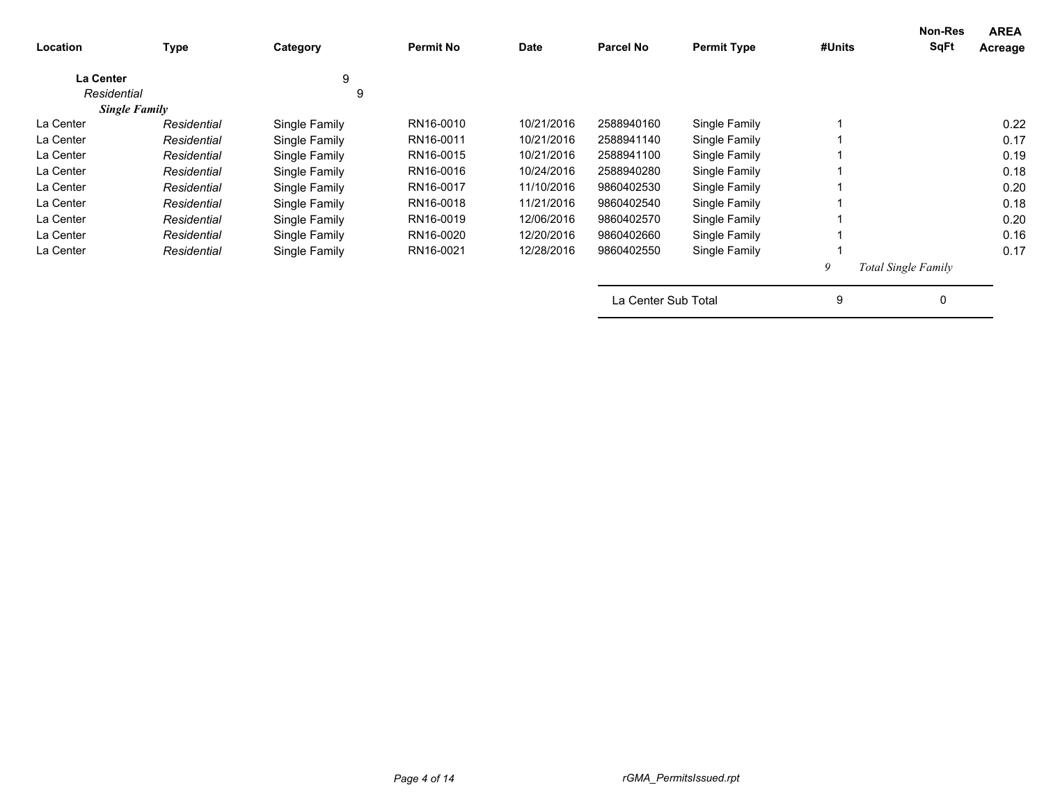| Location         | Type                 | Category      | <b>Permit No</b> | <b>Date</b> | <b>Parcel No</b>    | <b>Permit Type</b> | #Units | Non-Res<br><b>SqFt</b>     | <b>AREA</b><br>Acreage |
|------------------|----------------------|---------------|------------------|-------------|---------------------|--------------------|--------|----------------------------|------------------------|
| <b>La Center</b> |                      | 9             |                  |             |                     |                    |        |                            |                        |
| Residential      |                      | 9             |                  |             |                     |                    |        |                            |                        |
|                  | <b>Single Family</b> |               |                  |             |                     |                    |        |                            |                        |
| La Center        | Residential          | Single Family | RN16-0010        | 10/21/2016  | 2588940160          | Single Family      |        |                            | 0.22                   |
| La Center        | Residential          | Single Family | RN16-0011        | 10/21/2016  | 2588941140          | Single Family      |        |                            | 0.17                   |
| La Center        | Residential          | Single Family | RN16-0015        | 10/21/2016  | 2588941100          | Single Family      |        |                            | 0.19                   |
| La Center        | Residential          | Single Family | RN16-0016        | 10/24/2016  | 2588940280          | Single Family      |        |                            | 0.18                   |
| La Center        | Residential          | Single Family | RN16-0017        | 11/10/2016  | 9860402530          | Single Family      |        |                            | 0.20                   |
| La Center        | Residential          | Single Family | RN16-0018        | 11/21/2016  | 9860402540          | Single Family      |        |                            | 0.18                   |
| La Center        | Residential          | Single Family | RN16-0019        | 12/06/2016  | 9860402570          | Single Family      |        |                            | 0.20                   |
| La Center        | Residential          | Single Family | RN16-0020        | 12/20/2016  | 9860402660          | Single Family      |        |                            | 0.16                   |
| La Center        | Residential          | Single Family | RN16-0021        | 12/28/2016  | 9860402550          | Single Family      |        |                            | 0.17                   |
|                  |                      |               |                  |             |                     |                    | 9      | <b>Total Single Family</b> |                        |
|                  |                      |               |                  |             | La Center Sub Total |                    | 9      | 0                          |                        |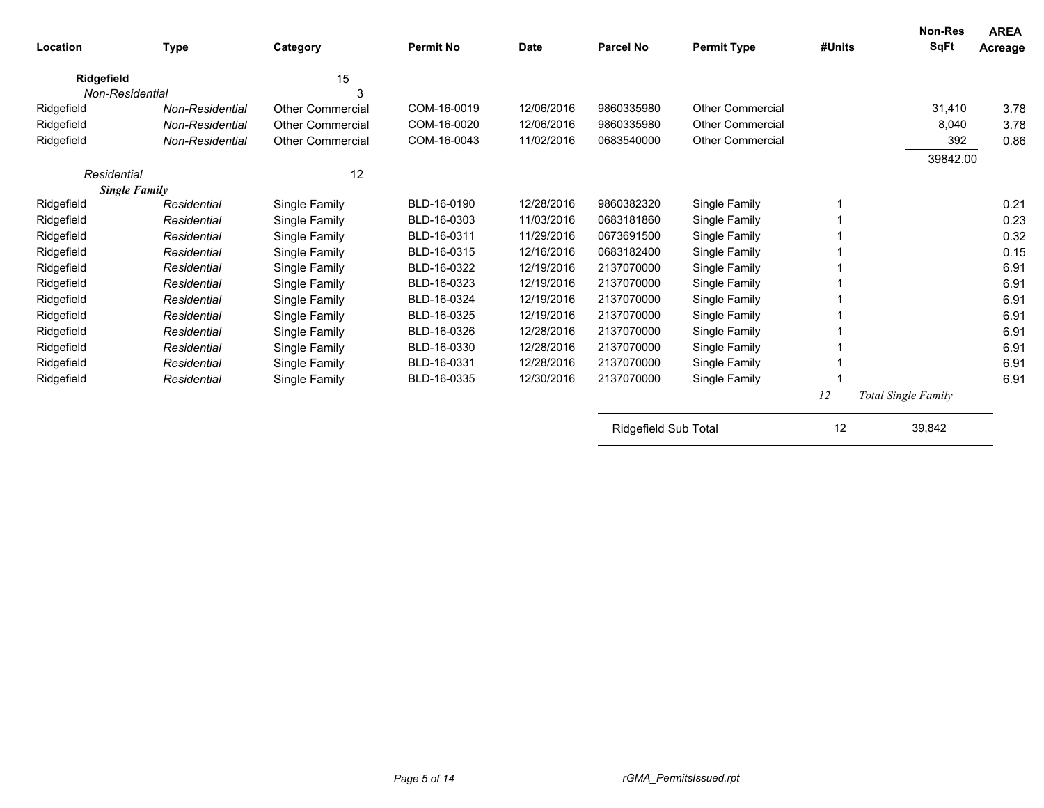| Location             | <b>Type</b>     | Category                | <b>Permit No</b> | <b>Date</b> | <b>Parcel No</b>     | <b>Permit Type</b>      | #Units | Non-Res<br>SqFt     | <b>AREA</b><br>Acreage |
|----------------------|-----------------|-------------------------|------------------|-------------|----------------------|-------------------------|--------|---------------------|------------------------|
| Ridgefield           |                 | 15                      |                  |             |                      |                         |        |                     |                        |
| Non-Residential      |                 | 3                       |                  |             |                      |                         |        |                     |                        |
| Ridgefield           | Non-Residential | <b>Other Commercial</b> | COM-16-0019      | 12/06/2016  | 9860335980           | <b>Other Commercial</b> |        | 31,410              | 3.78                   |
| Ridgefield           | Non-Residential | <b>Other Commercial</b> | COM-16-0020      | 12/06/2016  | 9860335980           | <b>Other Commercial</b> |        | 8.040               | 3.78                   |
| Ridgefield           | Non-Residential | Other Commercial        | COM-16-0043      | 11/02/2016  | 0683540000           | <b>Other Commercial</b> |        | 392                 | 0.86                   |
|                      |                 |                         |                  |             |                      |                         |        | 39842.00            |                        |
| Residential          |                 | 12                      |                  |             |                      |                         |        |                     |                        |
| <b>Single Family</b> |                 |                         |                  |             |                      |                         |        |                     |                        |
| Ridgefield           | Residential     | Single Family           | BLD-16-0190      | 12/28/2016  | 9860382320           | Single Family           |        |                     | 0.21                   |
| Ridgefield           | Residential     | Single Family           | BLD-16-0303      | 11/03/2016  | 0683181860           | Single Family           |        |                     | 0.23                   |
| Ridgefield           | Residential     | Single Family           | BLD-16-0311      | 11/29/2016  | 0673691500           | Single Family           |        |                     | 0.32                   |
| Ridgefield           | Residential     | Single Family           | BLD-16-0315      | 12/16/2016  | 0683182400           | Single Family           |        |                     | 0.15                   |
| Ridgefield           | Residential     | Single Family           | BLD-16-0322      | 12/19/2016  | 2137070000           | Single Family           |        |                     | 6.91                   |
| Ridgefield           | Residential     | Single Family           | BLD-16-0323      | 12/19/2016  | 2137070000           | Single Family           |        |                     | 6.91                   |
| Ridgefield           | Residential     | Single Family           | BLD-16-0324      | 12/19/2016  | 2137070000           | Single Family           |        |                     | 6.91                   |
| Ridgefield           | Residential     | Single Family           | BLD-16-0325      | 12/19/2016  | 2137070000           | Single Family           |        |                     | 6.91                   |
| Ridgefield           | Residential     | Single Family           | BLD-16-0326      | 12/28/2016  | 2137070000           | Single Family           |        |                     | 6.91                   |
| Ridgefield           | Residential     | Single Family           | BLD-16-0330      | 12/28/2016  | 2137070000           | Single Family           |        |                     | 6.91                   |
| Ridgefield           | Residential     | Single Family           | BLD-16-0331      | 12/28/2016  | 2137070000           | Single Family           |        |                     | 6.91                   |
| Ridgefield           | Residential     | Single Family           | BLD-16-0335      | 12/30/2016  | 2137070000           | Single Family           |        |                     | 6.91                   |
|                      |                 |                         |                  |             |                      |                         | 12     | Total Single Family |                        |
|                      |                 |                         |                  |             | Ridgefield Sub Total |                         | 12     | 39,842              |                        |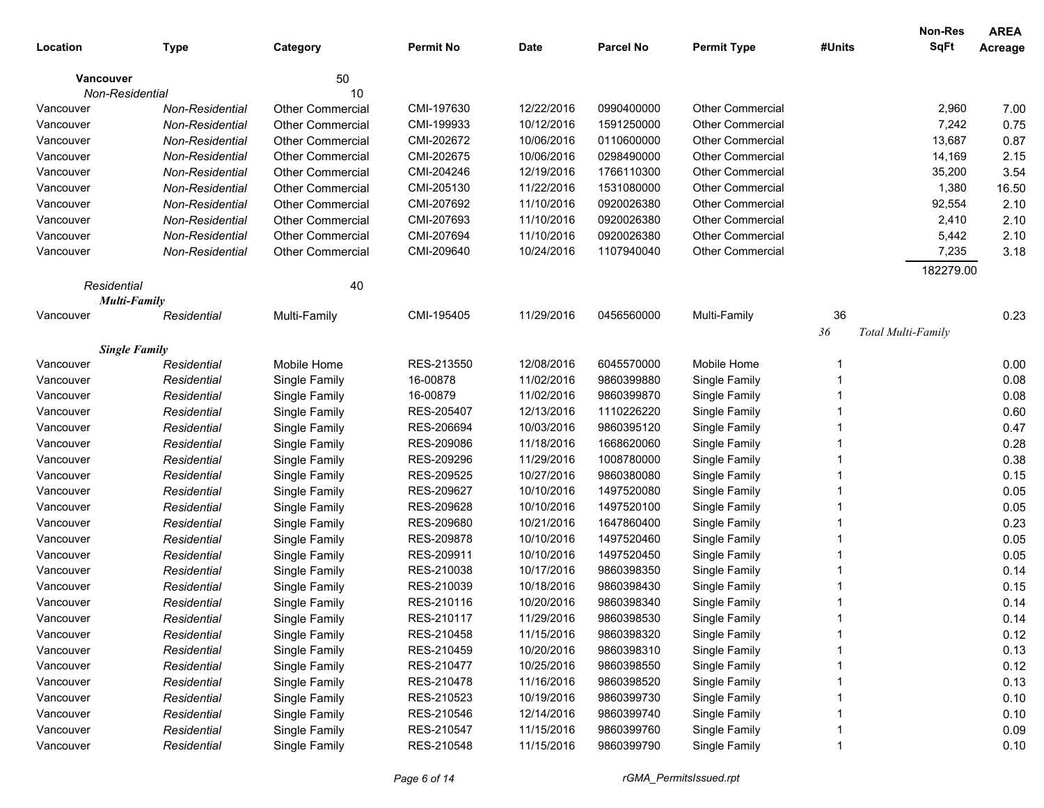|             |                      |                         |                  |             |            |                         |        | <b>Non-Res</b>     | <b>AREA</b> |
|-------------|----------------------|-------------------------|------------------|-------------|------------|-------------------------|--------|--------------------|-------------|
| Location    | <b>Type</b>          | Category                | <b>Permit No</b> | <b>Date</b> | Parcel No  | <b>Permit Type</b>      | #Units | <b>SqFt</b>        | Acreage     |
| Vancouver   |                      | 50                      |                  |             |            |                         |        |                    |             |
|             | Non-Residential      | 10                      |                  |             |            |                         |        |                    |             |
| Vancouver   | Non-Residential      | <b>Other Commercial</b> | CMI-197630       | 12/22/2016  | 0990400000 | <b>Other Commercial</b> |        | 2,960              | 7.00        |
| Vancouver   | Non-Residential      | <b>Other Commercial</b> | CMI-199933       | 10/12/2016  | 1591250000 | Other Commercial        |        | 7,242              | 0.75        |
| Vancouver   | Non-Residential      | <b>Other Commercial</b> | CMI-202672       | 10/06/2016  | 0110600000 | <b>Other Commercial</b> |        | 13,687             | 0.87        |
| Vancouver   | Non-Residential      | <b>Other Commercial</b> | CMI-202675       | 10/06/2016  | 0298490000 | <b>Other Commercial</b> |        | 14,169             | 2.15        |
| Vancouver   | Non-Residential      | <b>Other Commercial</b> | CMI-204246       | 12/19/2016  | 1766110300 | <b>Other Commercial</b> |        | 35,200             | 3.54        |
| Vancouver   | Non-Residential      | <b>Other Commercial</b> | CMI-205130       | 11/22/2016  | 1531080000 | <b>Other Commercial</b> |        | 1,380              | 16.50       |
| Vancouver   | Non-Residential      | <b>Other Commercial</b> | CMI-207692       | 11/10/2016  | 0920026380 | <b>Other Commercial</b> |        | 92,554             | 2.10        |
| Vancouver   | Non-Residential      | <b>Other Commercial</b> | CMI-207693       | 11/10/2016  | 0920026380 | <b>Other Commercial</b> |        | 2,410              | 2.10        |
| Vancouver   | Non-Residential      | <b>Other Commercial</b> | CMI-207694       | 11/10/2016  | 0920026380 | <b>Other Commercial</b> |        | 5,442              | 2.10        |
| Vancouver   | Non-Residential      | Other Commercial        | CMI-209640       | 10/24/2016  | 1107940040 | <b>Other Commercial</b> |        | 7,235              | 3.18        |
|             |                      |                         |                  |             |            |                         |        | 182279.00          |             |
| Residential |                      | 40                      |                  |             |            |                         |        |                    |             |
|             | <b>Multi-Family</b>  |                         |                  |             |            |                         |        |                    |             |
| Vancouver   | Residential          | Multi-Family            | CMI-195405       | 11/29/2016  | 0456560000 | Multi-Family            | 36     |                    | 0.23        |
|             |                      |                         |                  |             |            |                         | 36     | Total Multi-Family |             |
|             | <b>Single Family</b> |                         |                  |             |            |                         |        |                    |             |
| Vancouver   | Residential          | Mobile Home             | RES-213550       | 12/08/2016  | 6045570000 | Mobile Home             |        |                    | 0.00        |
| Vancouver   | Residential          | Single Family           | 16-00878         | 11/02/2016  | 9860399880 | Single Family           |        |                    | 0.08        |
| Vancouver   | Residential          | Single Family           | 16-00879         | 11/02/2016  | 9860399870 | Single Family           |        |                    | 0.08        |
| Vancouver   | Residential          | Single Family           | RES-205407       | 12/13/2016  | 1110226220 | Single Family           |        |                    | 0.60        |
| Vancouver   | Residential          | Single Family           | RES-206694       | 10/03/2016  | 9860395120 | Single Family           |        |                    | 0.47        |
| Vancouver   | Residential          | Single Family           | RES-209086       | 11/18/2016  | 1668620060 | Single Family           |        |                    | 0.28        |
| Vancouver   | Residential          | Single Family           | RES-209296       | 11/29/2016  | 1008780000 | Single Family           |        |                    | 0.38        |
| Vancouver   | Residential          | Single Family           | RES-209525       | 10/27/2016  | 9860380080 | Single Family           |        |                    | 0.15        |
| Vancouver   | Residential          | Single Family           | RES-209627       | 10/10/2016  | 1497520080 | Single Family           |        |                    | 0.05        |
| Vancouver   | Residential          | Single Family           | RES-209628       | 10/10/2016  | 1497520100 | Single Family           |        |                    | 0.05        |
| Vancouver   | Residential          | Single Family           | RES-209680       | 10/21/2016  | 1647860400 | Single Family           |        |                    | 0.23        |
| Vancouver   | Residential          | Single Family           | RES-209878       | 10/10/2016  | 1497520460 | Single Family           |        |                    | 0.05        |
| Vancouver   | Residential          | Single Family           | RES-209911       | 10/10/2016  | 1497520450 | Single Family           |        |                    | 0.05        |
| Vancouver   | Residential          | Single Family           | RES-210038       | 10/17/2016  | 9860398350 | Single Family           |        |                    | 0.14        |
| Vancouver   | Residential          | Single Family           | RES-210039       | 10/18/2016  | 9860398430 | Single Family           |        |                    | 0.15        |
| Vancouver   | Residential          | Single Family           | RES-210116       | 10/20/2016  | 9860398340 | Single Family           |        |                    | 0.14        |
| Vancouver   | Residential          | Single Family           | RES-210117       | 11/29/2016  | 9860398530 | Single Family           |        |                    | 0.14        |
| Vancouver   | Residential          | Single Family           | RES-210458       | 11/15/2016  | 9860398320 | Single Family           |        |                    | 0.12        |
| Vancouver   | Residential          | Single Family           | RES-210459       | 10/20/2016  | 9860398310 | Single Family           |        |                    | 0.13        |
| Vancouver   | Residential          | Single Family           | RES-210477       | 10/25/2016  | 9860398550 | Single Family           |        |                    | 0.12        |
| Vancouver   | Residential          | Single Family           | RES-210478       | 11/16/2016  | 9860398520 | Single Family           |        |                    | 0.13        |
| Vancouver   | Residential          | Single Family           | RES-210523       | 10/19/2016  | 9860399730 | Single Family           |        |                    | 0.10        |
| Vancouver   | Residential          | Single Family           | RES-210546       | 12/14/2016  | 9860399740 | Single Family           |        |                    | 0.10        |
| Vancouver   | Residential          | Single Family           | RES-210547       | 11/15/2016  | 9860399760 | Single Family           |        |                    | 0.09        |
| Vancouver   | Residential          | Single Family           | RES-210548       | 11/15/2016  | 9860399790 | Single Family           |        |                    | 0.10        |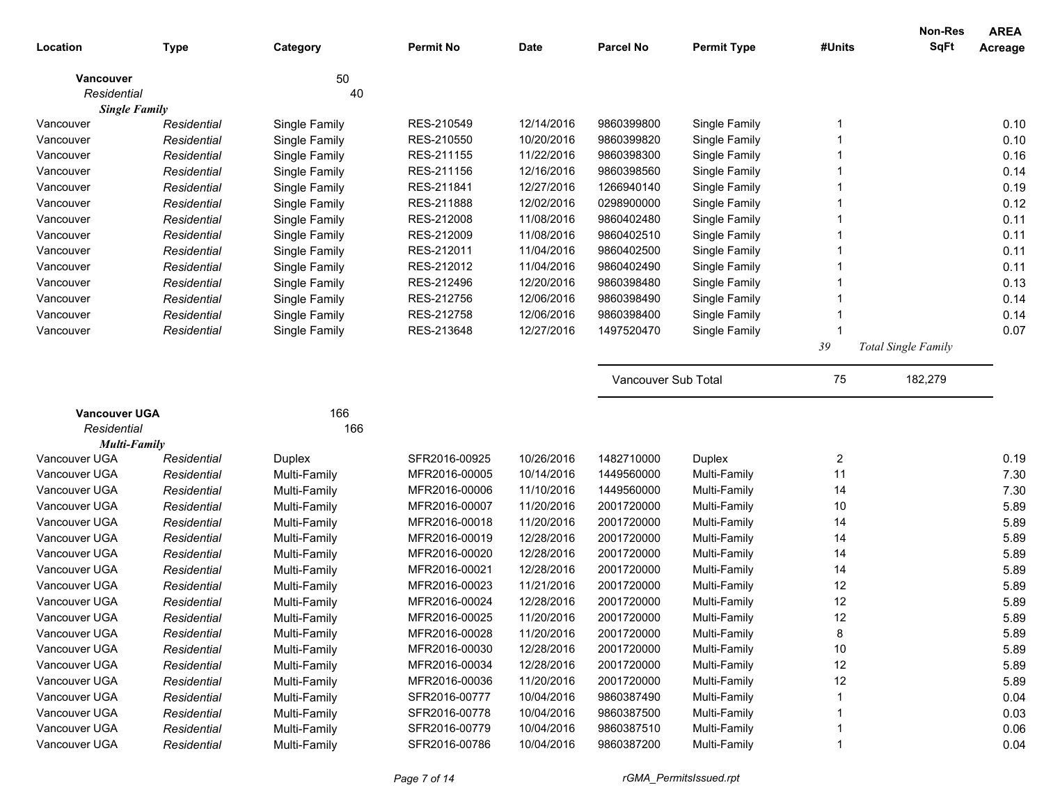|                                     |             |               |                  |            |                     |                    |        | <b>Non-Res</b>             | <b>AREA</b> |
|-------------------------------------|-------------|---------------|------------------|------------|---------------------|--------------------|--------|----------------------------|-------------|
| Location                            | <b>Type</b> | Category      | <b>Permit No</b> | Date       | <b>Parcel No</b>    | <b>Permit Type</b> | #Units | <b>SqFt</b>                | Acreage     |
| <b>Vancouver</b>                    |             | 50            |                  |            |                     |                    |        |                            |             |
| Residential                         |             | 40            |                  |            |                     |                    |        |                            |             |
| <b>Single Family</b>                |             |               |                  |            |                     |                    |        |                            |             |
| Vancouver                           | Residential | Single Family | RES-210549       | 12/14/2016 | 9860399800          | Single Family      |        |                            | 0.10        |
| Vancouver                           | Residential | Single Family | RES-210550       | 10/20/2016 | 9860399820          | Single Family      |        |                            | 0.10        |
| Vancouver                           | Residential | Single Family | RES-211155       | 11/22/2016 | 9860398300          | Single Family      |        |                            | 0.16        |
| Vancouver                           | Residential | Single Family | RES-211156       | 12/16/2016 | 9860398560          | Single Family      |        |                            | 0.14        |
| Vancouver                           | Residential | Single Family | RES-211841       | 12/27/2016 | 1266940140          | Single Family      |        |                            | 0.19        |
| Vancouver                           | Residential | Single Family | RES-211888       | 12/02/2016 | 0298900000          | Single Family      |        |                            | 0.12        |
| Vancouver                           | Residential | Single Family | RES-212008       | 11/08/2016 | 9860402480          | Single Family      |        |                            | 0.11        |
| Vancouver                           | Residential | Single Family | RES-212009       | 11/08/2016 | 9860402510          | Single Family      |        |                            | 0.11        |
| Vancouver                           | Residential | Single Family | RES-212011       | 11/04/2016 | 9860402500          | Single Family      |        |                            | 0.11        |
| Vancouver                           | Residential | Single Family | RES-212012       | 11/04/2016 | 9860402490          | Single Family      |        |                            | 0.11        |
| Vancouver                           | Residential | Single Family | RES-212496       | 12/20/2016 | 9860398480          | Single Family      |        |                            | 0.13        |
| Vancouver                           | Residential | Single Family | RES-212756       | 12/06/2016 | 9860398490          | Single Family      |        |                            | 0.14        |
| Vancouver                           | Residential | Single Family | RES-212758       | 12/06/2016 | 9860398400          | Single Family      |        |                            | 0.14        |
| Vancouver                           | Residential | Single Family | RES-213648       | 12/27/2016 | 1497520470          | Single Family      |        |                            | 0.07        |
|                                     |             |               |                  |            |                     |                    | 39     | <b>Total Single Family</b> |             |
|                                     |             |               |                  |            | Vancouver Sub Total |                    | 75     | 182,279                    |             |
|                                     |             |               |                  |            |                     |                    |        |                            |             |
| <b>Vancouver UGA</b><br>Residential |             | 166<br>166    |                  |            |                     |                    |        |                            |             |
| <b>Multi-Family</b>                 |             |               |                  |            |                     |                    |        |                            |             |
| Vancouver UGA                       | Residential | Duplex        | SFR2016-00925    | 10/26/2016 | 1482710000          | Duplex             | 2      |                            | 0.19        |
| Vancouver UGA                       | Residential | Multi-Family  | MFR2016-00005    | 10/14/2016 | 1449560000          | Multi-Family       | 11     |                            | 7.30        |
| Vancouver UGA                       | Residential | Multi-Family  | MFR2016-00006    | 11/10/2016 | 1449560000          | Multi-Family       | 14     |                            | 7.30        |
| Vancouver UGA                       | Residential | Multi-Family  | MFR2016-00007    | 11/20/2016 | 2001720000          | Multi-Family       | 10     |                            | 5.89        |
| Vancouver UGA                       | Residential | Multi-Family  | MFR2016-00018    | 11/20/2016 | 2001720000          | Multi-Family       | 14     |                            | 5.89        |
| Vancouver UGA                       | Residential | Multi-Family  | MFR2016-00019    | 12/28/2016 | 2001720000          | Multi-Family       | 14     |                            | 5.89        |
| Vancouver UGA                       | Residential | Multi-Family  | MFR2016-00020    | 12/28/2016 | 2001720000          | Multi-Family       | 14     |                            | 5.89        |
| Vancouver UGA                       | Residential | Multi-Family  | MFR2016-00021    | 12/28/2016 | 2001720000          | Multi-Family       | 14     |                            | 5.89        |
| Vancouver UGA                       | Residential | Multi-Family  | MFR2016-00023    | 11/21/2016 | 2001720000          | Multi-Family       | 12     |                            | 5.89        |
| Vancouver UGA                       | Residential | Multi-Family  | MFR2016-00024    | 12/28/2016 | 2001720000          | Multi-Family       | 12     |                            | 5.89        |
| Vancouver UGA                       | Residential | Multi-Family  | MFR2016-00025    | 11/20/2016 | 2001720000          | Multi-Family       | 12     |                            | 5.89        |
| Vancouver UGA                       | Residential | Multi-Family  | MFR2016-00028    | 11/20/2016 | 2001720000          | Multi-Family       | 8      |                            | 5.89        |
| Vancouver UGA                       | Residential | Multi-Family  | MFR2016-00030    | 12/28/2016 | 2001720000          | Multi-Family       | 10     |                            | 5.89        |
| Vancouver UGA                       | Residential | Multi-Family  | MFR2016-00034    | 12/28/2016 | 2001720000          | Multi-Family       | 12     |                            | 5.89        |
| Vancouver UGA                       | Residential | Multi-Family  | MFR2016-00036    | 11/20/2016 | 2001720000          | Multi-Family       | 12     |                            | 5.89        |
| Vancouver UGA                       | Residential | Multi-Family  | SFR2016-00777    | 10/04/2016 | 9860387490          | Multi-Family       |        |                            | 0.04        |
| Vancouver UGA                       | Residential | Multi-Family  | SFR2016-00778    | 10/04/2016 | 9860387500          | Multi-Family       |        |                            | 0.03        |
| Vancouver UGA                       | Residential | Multi-Family  | SFR2016-00779    | 10/04/2016 | 9860387510          | Multi-Family       |        |                            | 0.06        |
| Vancouver UGA                       | Residential | Multi-Family  | SFR2016-00786    | 10/04/2016 | 9860387200          | Multi-Family       |        |                            | 0.04        |
|                                     |             |               |                  |            |                     |                    |        |                            |             |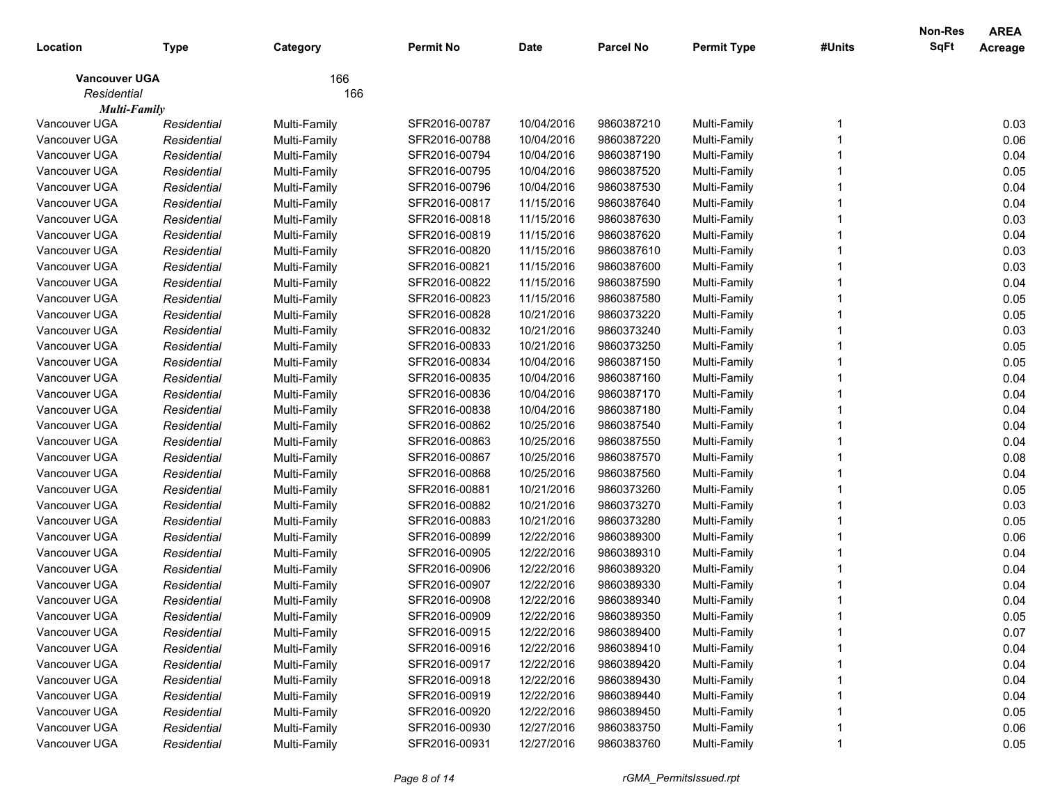|                      |             |              |                  |             |                  |                    |        | <b>Non-Res</b> | <b>AREA</b> |
|----------------------|-------------|--------------|------------------|-------------|------------------|--------------------|--------|----------------|-------------|
| Location             | <b>Type</b> | Category     | <b>Permit No</b> | <b>Date</b> | <b>Parcel No</b> | <b>Permit Type</b> | #Units | <b>SqFt</b>    | Acreage     |
| <b>Vancouver UGA</b> |             | 166          |                  |             |                  |                    |        |                |             |
| Residential          |             | 166          |                  |             |                  |                    |        |                |             |
| <b>Multi-Family</b>  |             |              |                  |             |                  |                    |        |                |             |
| Vancouver UGA        | Residential | Multi-Family | SFR2016-00787    | 10/04/2016  | 9860387210       | Multi-Family       |        |                | 0.03        |
| Vancouver UGA        | Residential | Multi-Family | SFR2016-00788    | 10/04/2016  | 9860387220       | Multi-Family       |        |                | 0.06        |
| Vancouver UGA        | Residential | Multi-Family | SFR2016-00794    | 10/04/2016  | 9860387190       | Multi-Family       |        |                | 0.04        |
| Vancouver UGA        | Residential | Multi-Family | SFR2016-00795    | 10/04/2016  | 9860387520       | Multi-Family       |        |                | 0.05        |
| Vancouver UGA        | Residential | Multi-Family | SFR2016-00796    | 10/04/2016  | 9860387530       | Multi-Family       |        |                | 0.04        |
| Vancouver UGA        | Residential | Multi-Family | SFR2016-00817    | 11/15/2016  | 9860387640       | Multi-Family       |        |                | 0.04        |
| Vancouver UGA        | Residential | Multi-Family | SFR2016-00818    | 11/15/2016  | 9860387630       | Multi-Family       |        |                | 0.03        |
| Vancouver UGA        | Residential | Multi-Family | SFR2016-00819    | 11/15/2016  | 9860387620       | Multi-Family       |        |                | 0.04        |
| Vancouver UGA        | Residential | Multi-Family | SFR2016-00820    | 11/15/2016  | 9860387610       | Multi-Family       |        |                | 0.03        |
| Vancouver UGA        | Residential | Multi-Family | SFR2016-00821    | 11/15/2016  | 9860387600       | Multi-Family       |        |                | 0.03        |
| Vancouver UGA        | Residential | Multi-Family | SFR2016-00822    | 11/15/2016  | 9860387590       | Multi-Family       |        |                | 0.04        |
| Vancouver UGA        | Residential | Multi-Family | SFR2016-00823    | 11/15/2016  | 9860387580       | Multi-Family       |        |                | 0.05        |
| Vancouver UGA        | Residential | Multi-Family | SFR2016-00828    | 10/21/2016  | 9860373220       | Multi-Family       |        |                | 0.05        |
| Vancouver UGA        | Residential | Multi-Family | SFR2016-00832    | 10/21/2016  | 9860373240       | Multi-Family       |        |                | 0.03        |
| Vancouver UGA        | Residential | Multi-Family | SFR2016-00833    | 10/21/2016  | 9860373250       | Multi-Family       |        |                | 0.05        |
| Vancouver UGA        | Residential | Multi-Family | SFR2016-00834    | 10/04/2016  | 9860387150       | Multi-Family       |        |                | 0.05        |
| Vancouver UGA        | Residential | Multi-Family | SFR2016-00835    | 10/04/2016  | 9860387160       | Multi-Family       |        |                | 0.04        |
| Vancouver UGA        | Residential | Multi-Family | SFR2016-00836    | 10/04/2016  | 9860387170       | Multi-Family       |        |                | 0.04        |
| Vancouver UGA        | Residential | Multi-Family | SFR2016-00838    | 10/04/2016  | 9860387180       | Multi-Family       |        |                | 0.04        |
| Vancouver UGA        | Residential | Multi-Family | SFR2016-00862    | 10/25/2016  | 9860387540       | Multi-Family       |        |                | 0.04        |
| Vancouver UGA        | Residential | Multi-Family | SFR2016-00863    | 10/25/2016  | 9860387550       | Multi-Family       |        |                | 0.04        |
| Vancouver UGA        | Residential | Multi-Family | SFR2016-00867    | 10/25/2016  | 9860387570       | Multi-Family       |        |                | 0.08        |
| Vancouver UGA        | Residential | Multi-Family | SFR2016-00868    | 10/25/2016  | 9860387560       | Multi-Family       |        |                | 0.04        |
| Vancouver UGA        | Residential | Multi-Family | SFR2016-00881    | 10/21/2016  | 9860373260       | Multi-Family       |        |                | 0.05        |
| Vancouver UGA        | Residential | Multi-Family | SFR2016-00882    | 10/21/2016  | 9860373270       | Multi-Family       |        |                | 0.03        |
| Vancouver UGA        | Residential | Multi-Family | SFR2016-00883    | 10/21/2016  | 9860373280       | Multi-Family       |        |                | 0.05        |
| Vancouver UGA        | Residential | Multi-Family | SFR2016-00899    | 12/22/2016  | 9860389300       | Multi-Family       |        |                | 0.06        |
| Vancouver UGA        | Residential | Multi-Family | SFR2016-00905    | 12/22/2016  | 9860389310       | Multi-Family       |        |                | 0.04        |
| Vancouver UGA        | Residential | Multi-Family | SFR2016-00906    | 12/22/2016  | 9860389320       | Multi-Family       |        |                | 0.04        |
| Vancouver UGA        | Residential | Multi-Family | SFR2016-00907    | 12/22/2016  | 9860389330       | Multi-Family       |        |                | 0.04        |
| Vancouver UGA        | Residential | Multi-Family | SFR2016-00908    | 12/22/2016  | 9860389340       | Multi-Family       |        |                | 0.04        |
| Vancouver UGA        | Residential | Multi-Family | SFR2016-00909    | 12/22/2016  | 9860389350       | Multi-Family       |        |                | 0.05        |
| Vancouver UGA        | Residential | Multi-Family | SFR2016-00915    | 12/22/2016  | 9860389400       | Multi-Family       |        |                | 0.07        |
| Vancouver UGA        | Residential | Multi-Family | SFR2016-00916    | 12/22/2016  | 9860389410       | Multi-Family       |        |                | 0.04        |
| Vancouver UGA        | Residential | Multi-Family | SFR2016-00917    | 12/22/2016  | 9860389420       | Multi-Family       |        |                | 0.04        |
| Vancouver UGA        | Residential | Multi-Family | SFR2016-00918    | 12/22/2016  | 9860389430       | Multi-Family       |        |                | 0.04        |
| Vancouver UGA        | Residential | Multi-Family | SFR2016-00919    | 12/22/2016  | 9860389440       | Multi-Family       |        |                | 0.04        |
| Vancouver UGA        | Residential | Multi-Family | SFR2016-00920    | 12/22/2016  | 9860389450       | Multi-Family       |        |                | 0.05        |
| Vancouver UGA        | Residential | Multi-Family | SFR2016-00930    | 12/27/2016  | 9860383750       | Multi-Family       |        |                | 0.06        |
| Vancouver UGA        | Residential | Multi-Family | SFR2016-00931    | 12/27/2016  | 9860383760       | Multi-Family       |        |                | 0.05        |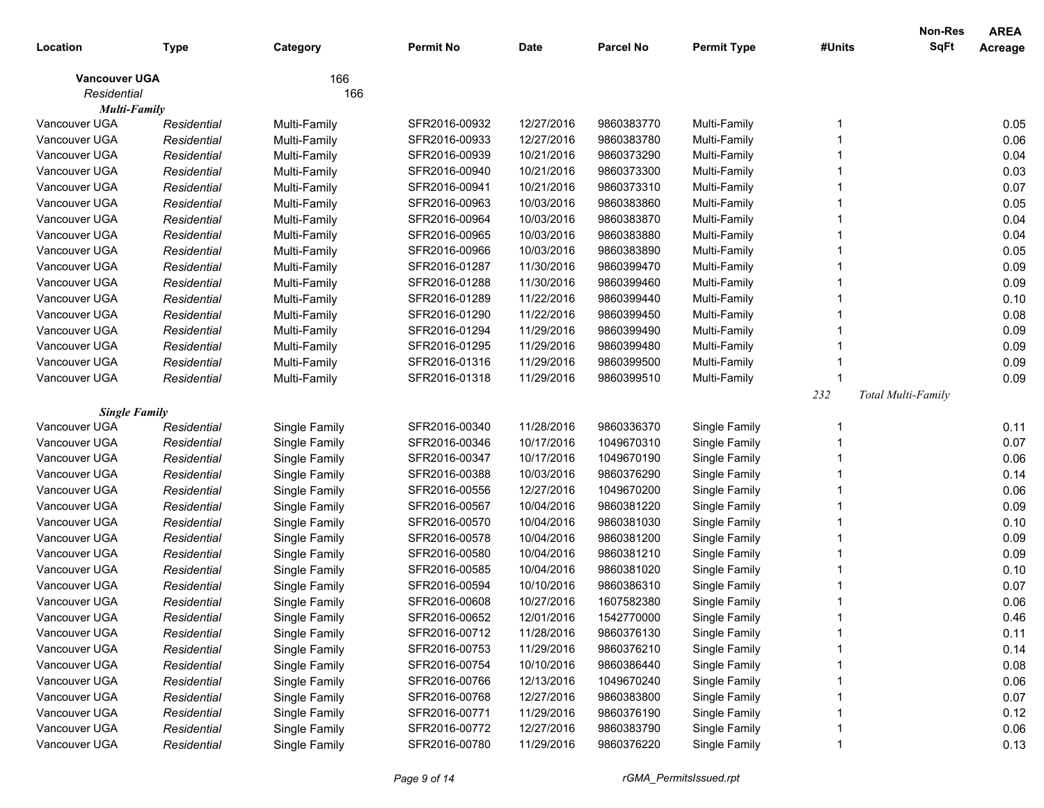| Location             | <b>Type</b> | Category      | <b>Permit No</b> | <b>Date</b> | <b>Parcel No</b> | <b>Permit Type</b> | #Units | Non-Res<br>SqFt    | <b>AREA</b><br>Acreage |
|----------------------|-------------|---------------|------------------|-------------|------------------|--------------------|--------|--------------------|------------------------|
| <b>Vancouver UGA</b> |             | 166           |                  |             |                  |                    |        |                    |                        |
| Residential          |             | 166           |                  |             |                  |                    |        |                    |                        |
| <b>Multi-Family</b>  |             |               |                  |             |                  |                    |        |                    |                        |
| Vancouver UGA        | Residential | Multi-Family  | SFR2016-00932    | 12/27/2016  | 9860383770       | Multi-Family       | 1      |                    | 0.05                   |
| Vancouver UGA        | Residential | Multi-Family  | SFR2016-00933    | 12/27/2016  | 9860383780       | Multi-Family       |        |                    | 0.06                   |
| Vancouver UGA        | Residential | Multi-Family  | SFR2016-00939    | 10/21/2016  | 9860373290       | Multi-Family       |        |                    | 0.04                   |
| Vancouver UGA        | Residential | Multi-Family  | SFR2016-00940    | 10/21/2016  | 9860373300       | Multi-Family       |        |                    | 0.03                   |
| Vancouver UGA        | Residential | Multi-Family  | SFR2016-00941    | 10/21/2016  | 9860373310       | Multi-Family       |        |                    | 0.07                   |
| Vancouver UGA        | Residential | Multi-Family  | SFR2016-00963    | 10/03/2016  | 9860383860       | Multi-Family       |        |                    | 0.05                   |
| Vancouver UGA        | Residential | Multi-Family  | SFR2016-00964    | 10/03/2016  | 9860383870       | Multi-Family       |        |                    | 0.04                   |
| Vancouver UGA        | Residential | Multi-Family  | SFR2016-00965    | 10/03/2016  | 9860383880       | Multi-Family       |        |                    | 0.04                   |
| Vancouver UGA        | Residential | Multi-Family  | SFR2016-00966    | 10/03/2016  | 9860383890       | Multi-Family       |        |                    | 0.05                   |
| Vancouver UGA        | Residential | Multi-Family  | SFR2016-01287    | 11/30/2016  | 9860399470       | Multi-Family       |        |                    | 0.09                   |
| Vancouver UGA        | Residential | Multi-Family  | SFR2016-01288    | 11/30/2016  | 9860399460       | Multi-Family       |        |                    | 0.09                   |
| Vancouver UGA        | Residential | Multi-Family  | SFR2016-01289    | 11/22/2016  | 9860399440       | Multi-Family       |        |                    | 0.10                   |
| Vancouver UGA        | Residential | Multi-Family  | SFR2016-01290    | 11/22/2016  | 9860399450       | Multi-Family       |        |                    | 0.08                   |
| Vancouver UGA        | Residential | Multi-Family  | SFR2016-01294    | 11/29/2016  | 9860399490       | Multi-Family       |        |                    | 0.09                   |
| Vancouver UGA        | Residential | Multi-Family  | SFR2016-01295    | 11/29/2016  | 9860399480       | Multi-Family       |        |                    | 0.09                   |
| Vancouver UGA        | Residential | Multi-Family  | SFR2016-01316    | 11/29/2016  | 9860399500       | Multi-Family       |        |                    | 0.09                   |
| Vancouver UGA        | Residential | Multi-Family  | SFR2016-01318    | 11/29/2016  | 9860399510       | Multi-Family       |        |                    | 0.09                   |
|                      |             |               |                  |             |                  |                    | 232    | Total Multi-Family |                        |
| <b>Single Family</b> |             |               |                  |             |                  |                    |        |                    |                        |
| Vancouver UGA        | Residential | Single Family | SFR2016-00340    | 11/28/2016  | 9860336370       | Single Family      | -1     |                    | 0.11                   |
| Vancouver UGA        | Residential | Single Family | SFR2016-00346    | 10/17/2016  | 1049670310       | Single Family      |        |                    | 0.07                   |
| Vancouver UGA        | Residential | Single Family | SFR2016-00347    | 10/17/2016  | 1049670190       | Single Family      |        |                    | 0.06                   |
| Vancouver UGA        | Residential | Single Family | SFR2016-00388    | 10/03/2016  | 9860376290       | Single Family      |        |                    | 0.14                   |
| Vancouver UGA        | Residential | Single Family | SFR2016-00556    | 12/27/2016  | 1049670200       | Single Family      |        |                    | 0.06                   |
| Vancouver UGA        | Residential | Single Family | SFR2016-00567    | 10/04/2016  | 9860381220       | Single Family      |        |                    | 0.09                   |
| Vancouver UGA        | Residential | Single Family | SFR2016-00570    | 10/04/2016  | 9860381030       | Single Family      |        |                    | 0.10                   |
| Vancouver UGA        | Residential | Single Family | SFR2016-00578    | 10/04/2016  | 9860381200       | Single Family      |        |                    | 0.09                   |
| Vancouver UGA        | Residential | Single Family | SFR2016-00580    | 10/04/2016  | 9860381210       | Single Family      |        |                    | 0.09                   |
| Vancouver UGA        | Residential | Single Family | SFR2016-00585    | 10/04/2016  | 9860381020       | Single Family      |        |                    | 0.10                   |
| Vancouver UGA        | Residential | Single Family | SFR2016-00594    | 10/10/2016  | 9860386310       | Single Family      |        |                    | 0.07                   |
| Vancouver UGA        | Residential | Single Family | SFR2016-00608    | 10/27/2016  | 1607582380       | Single Family      | 1      |                    | 0.06                   |
| Vancouver UGA        | Residential | Single Family | SFR2016-00652    | 12/01/2016  | 1542770000       | Single Family      |        |                    | 0.46                   |
| Vancouver UGA        | Residential | Single Family | SFR2016-00712    | 11/28/2016  | 9860376130       | Single Family      |        |                    | 0.11                   |
| Vancouver UGA        | Residential | Single Family | SFR2016-00753    | 11/29/2016  | 9860376210       | Single Family      |        |                    | 0.14                   |
| Vancouver UGA        | Residential | Single Family | SFR2016-00754    | 10/10/2016  | 9860386440       | Single Family      |        |                    | 0.08                   |
| Vancouver UGA        | Residential | Single Family | SFR2016-00766    | 12/13/2016  | 1049670240       | Single Family      |        |                    | 0.06                   |
| Vancouver UGA        | Residential | Single Family | SFR2016-00768    | 12/27/2016  | 9860383800       | Single Family      |        |                    | 0.07                   |
| Vancouver UGA        | Residential | Single Family | SFR2016-00771    | 11/29/2016  | 9860376190       | Single Family      |        |                    | 0.12                   |
| Vancouver UGA        | Residential | Single Family | SFR2016-00772    | 12/27/2016  | 9860383790       | Single Family      |        |                    | 0.06                   |
| Vancouver UGA        | Residential | Single Family | SFR2016-00780    | 11/29/2016  | 9860376220       | Single Family      |        |                    | 0.13                   |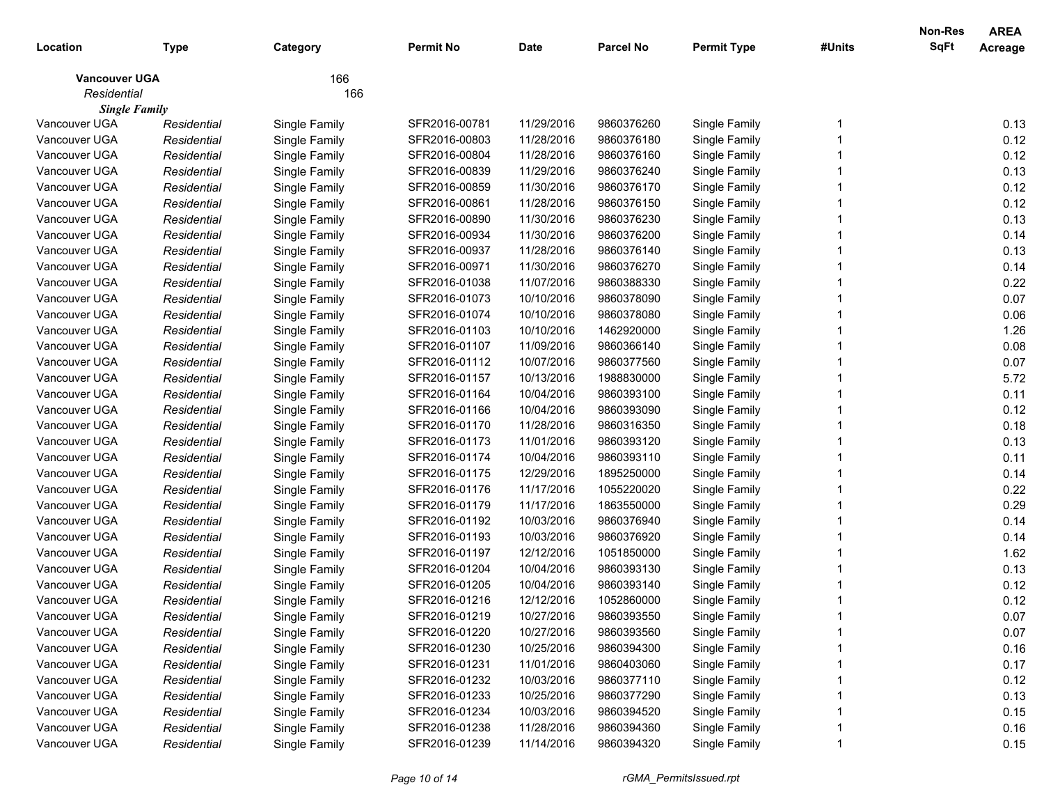| Location                              | <b>Type</b>                | Category      | <b>Permit No</b> | <b>Date</b> | <b>Parcel No</b> | <b>Permit Type</b>             | #Units | Non-Res<br>SqFt | <b>AREA</b><br>Acreage |
|---------------------------------------|----------------------------|---------------|------------------|-------------|------------------|--------------------------------|--------|-----------------|------------------------|
| <b>Vancouver UGA</b>                  |                            | 166           |                  |             |                  |                                |        |                 |                        |
| Residential                           |                            | 166           |                  |             |                  |                                |        |                 |                        |
| <b>Single Family</b><br>Vancouver UGA |                            |               | SFR2016-00781    | 11/29/2016  | 9860376260       |                                |        |                 | 0.13                   |
| Vancouver UGA                         | Residential                | Single Family | SFR2016-00803    | 11/28/2016  | 9860376180       | Single Family                  |        |                 | 0.12                   |
| Vancouver UGA                         | Residential<br>Residential | Single Family | SFR2016-00804    | 11/28/2016  | 9860376160       | Single Family<br>Single Family |        |                 | 0.12                   |
| Vancouver UGA                         | Residential                | Single Family | SFR2016-00839    | 11/29/2016  | 9860376240       |                                |        |                 | 0.13                   |
| Vancouver UGA                         | Residential                | Single Family | SFR2016-00859    | 11/30/2016  | 9860376170       | Single Family                  |        |                 | 0.12                   |
| Vancouver UGA                         | Residential                | Single Family | SFR2016-00861    | 11/28/2016  | 9860376150       | Single Family                  |        |                 | 0.12                   |
| Vancouver UGA                         |                            | Single Family |                  |             |                  | Single Family                  |        |                 | 0.13                   |
| Vancouver UGA                         | Residential                | Single Family | SFR2016-00890    | 11/30/2016  | 9860376230       | Single Family                  |        |                 | 0.14                   |
| Vancouver UGA                         | Residential                | Single Family | SFR2016-00934    | 11/30/2016  | 9860376200       | Single Family                  |        |                 | 0.13                   |
| Vancouver UGA                         | Residential                | Single Family | SFR2016-00937    | 11/28/2016  | 9860376140       | Single Family                  |        |                 |                        |
| Vancouver UGA                         | Residential                | Single Family | SFR2016-00971    | 11/30/2016  | 9860376270       | Single Family                  |        |                 | 0.14                   |
| Vancouver UGA                         | Residential                | Single Family | SFR2016-01038    | 11/07/2016  | 9860388330       | Single Family                  |        |                 | 0.22                   |
|                                       | Residential                | Single Family | SFR2016-01073    | 10/10/2016  | 9860378090       | Single Family                  |        |                 | 0.07                   |
| Vancouver UGA                         | Residential                | Single Family | SFR2016-01074    | 10/10/2016  | 9860378080       | Single Family                  |        |                 | 0.06                   |
| Vancouver UGA                         | Residential                | Single Family | SFR2016-01103    | 10/10/2016  | 1462920000       | Single Family                  |        |                 | 1.26                   |
| Vancouver UGA                         | Residential                | Single Family | SFR2016-01107    | 11/09/2016  | 9860366140       | Single Family                  |        |                 | 0.08                   |
| Vancouver UGA                         | Residential                | Single Family | SFR2016-01112    | 10/07/2016  | 9860377560       | Single Family                  |        |                 | 0.07                   |
| Vancouver UGA                         | Residential                | Single Family | SFR2016-01157    | 10/13/2016  | 1988830000       | Single Family                  |        |                 | 5.72                   |
| Vancouver UGA                         | Residential                | Single Family | SFR2016-01164    | 10/04/2016  | 9860393100       | Single Family                  |        |                 | 0.11                   |
| Vancouver UGA                         | Residential                | Single Family | SFR2016-01166    | 10/04/2016  | 9860393090       | Single Family                  |        |                 | 0.12                   |
| Vancouver UGA                         | Residential                | Single Family | SFR2016-01170    | 11/28/2016  | 9860316350       | Single Family                  |        |                 | 0.18                   |
| Vancouver UGA                         | Residential                | Single Family | SFR2016-01173    | 11/01/2016  | 9860393120       | Single Family                  |        |                 | 0.13                   |
| Vancouver UGA                         | Residential                | Single Family | SFR2016-01174    | 10/04/2016  | 9860393110       | Single Family                  |        |                 | 0.11                   |
| Vancouver UGA                         | Residential                | Single Family | SFR2016-01175    | 12/29/2016  | 1895250000       | Single Family                  |        |                 | 0.14                   |
| Vancouver UGA                         | Residential                | Single Family | SFR2016-01176    | 11/17/2016  | 1055220020       | Single Family                  |        |                 | 0.22                   |
| Vancouver UGA                         | Residential                | Single Family | SFR2016-01179    | 11/17/2016  | 1863550000       | Single Family                  |        |                 | 0.29                   |
| Vancouver UGA                         | Residential                | Single Family | SFR2016-01192    | 10/03/2016  | 9860376940       | Single Family                  |        |                 | 0.14                   |
| Vancouver UGA                         | Residential                | Single Family | SFR2016-01193    | 10/03/2016  | 9860376920       | Single Family                  |        |                 | 0.14                   |
| Vancouver UGA                         | Residential                | Single Family | SFR2016-01197    | 12/12/2016  | 1051850000       | Single Family                  |        |                 | 1.62                   |
| Vancouver UGA                         | Residential                | Single Family | SFR2016-01204    | 10/04/2016  | 9860393130       | Single Family                  |        |                 | 0.13                   |
| Vancouver UGA                         | Residential                | Single Family | SFR2016-01205    | 10/04/2016  | 9860393140       | Single Family                  |        |                 | 0.12                   |
| Vancouver UGA                         | Residential                | Single Family | SFR2016-01216    | 12/12/2016  | 1052860000       | Single Family                  |        |                 | 0.12                   |
| Vancouver UGA                         | Residential                | Single Family | SFR2016-01219    | 10/27/2016  | 9860393550       | Single Family                  |        |                 | 0.07                   |
| Vancouver UGA                         | Residential                | Single Family | SFR2016-01220    | 10/27/2016  | 9860393560       | Single Family                  |        |                 | 0.07                   |
| Vancouver UGA                         | Residential                | Single Family | SFR2016-01230    | 10/25/2016  | 9860394300       | Single Family                  |        |                 | 0.16                   |
| Vancouver UGA                         | Residential                | Single Family | SFR2016-01231    | 11/01/2016  | 9860403060       | Single Family                  |        |                 | 0.17                   |
| Vancouver UGA                         | Residential                | Single Family | SFR2016-01232    | 10/03/2016  | 9860377110       | Single Family                  |        |                 | 0.12                   |
| Vancouver UGA                         | Residential                | Single Family | SFR2016-01233    | 10/25/2016  | 9860377290       | Single Family                  |        |                 | 0.13                   |
| Vancouver UGA                         | Residential                | Single Family | SFR2016-01234    | 10/03/2016  | 9860394520       | Single Family                  |        |                 | 0.15                   |
| Vancouver UGA                         | Residential                | Single Family | SFR2016-01238    | 11/28/2016  | 9860394360       | Single Family                  |        |                 | 0.16                   |
| Vancouver UGA                         | Residential                | Single Family | SFR2016-01239    | 11/14/2016  | 9860394320       | Single Family                  |        |                 | 0.15                   |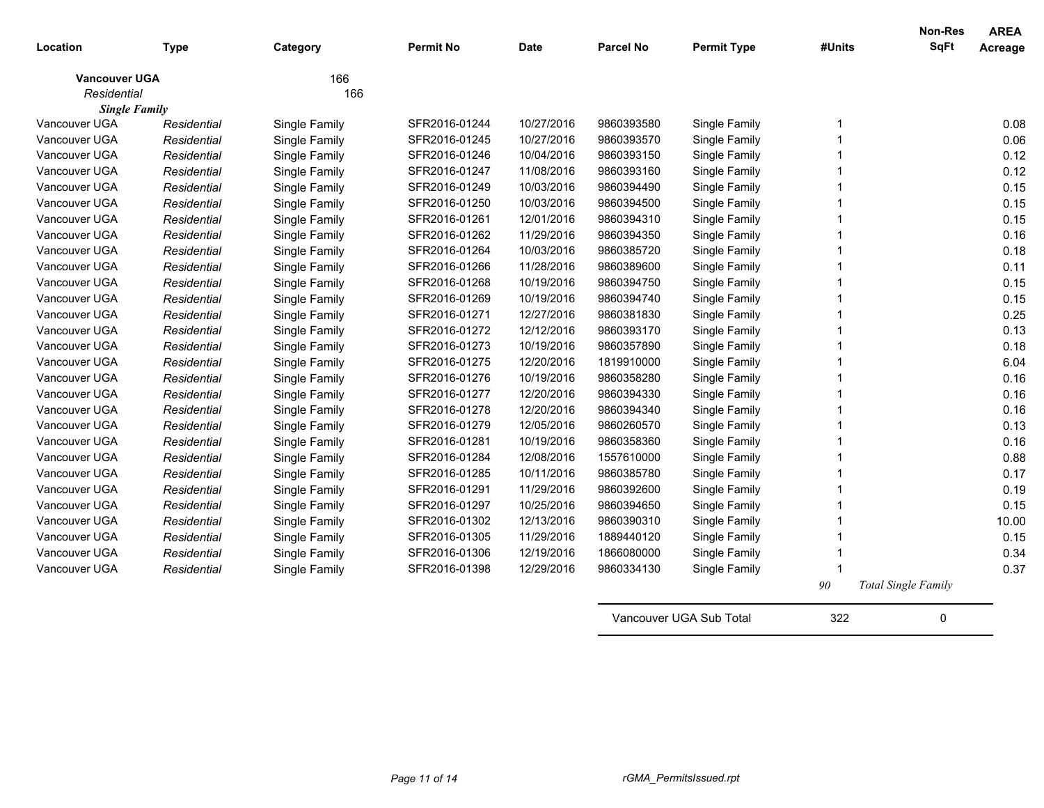| Location             | <b>Type</b> | Category      | <b>Permit No</b> | Date       | <b>Parcel No</b> | <b>Permit Type</b> | #Units | <b>Non-Res</b><br>SqFt     | <b>AREA</b><br>Acreage |
|----------------------|-------------|---------------|------------------|------------|------------------|--------------------|--------|----------------------------|------------------------|
| <b>Vancouver UGA</b> |             | 166           |                  |            |                  |                    |        |                            |                        |
| Residential          |             | 166           |                  |            |                  |                    |        |                            |                        |
| <b>Single Family</b> |             |               |                  |            |                  |                    |        |                            |                        |
| Vancouver UGA        | Residential | Single Family | SFR2016-01244    | 10/27/2016 | 9860393580       | Single Family      | 1      |                            | 0.08                   |
| Vancouver UGA        | Residential | Single Family | SFR2016-01245    | 10/27/2016 | 9860393570       | Single Family      |        |                            | 0.06                   |
| Vancouver UGA        | Residential | Single Family | SFR2016-01246    | 10/04/2016 | 9860393150       | Single Family      |        |                            | 0.12                   |
| Vancouver UGA        | Residential | Single Family | SFR2016-01247    | 11/08/2016 | 9860393160       | Single Family      |        |                            | 0.12                   |
| Vancouver UGA        | Residential | Single Family | SFR2016-01249    | 10/03/2016 | 9860394490       | Single Family      |        |                            | 0.15                   |
| Vancouver UGA        | Residential | Single Family | SFR2016-01250    | 10/03/2016 | 9860394500       | Single Family      |        |                            | 0.15                   |
| Vancouver UGA        | Residential | Single Family | SFR2016-01261    | 12/01/2016 | 9860394310       | Single Family      | 1      |                            | 0.15                   |
| Vancouver UGA        | Residential | Single Family | SFR2016-01262    | 11/29/2016 | 9860394350       | Single Family      |        |                            | 0.16                   |
| Vancouver UGA        | Residential | Single Family | SFR2016-01264    | 10/03/2016 | 9860385720       | Single Family      |        |                            | 0.18                   |
| Vancouver UGA        | Residential | Single Family | SFR2016-01266    | 11/28/2016 | 9860389600       | Single Family      |        |                            | 0.11                   |
| Vancouver UGA        | Residential | Single Family | SFR2016-01268    | 10/19/2016 | 9860394750       | Single Family      |        |                            | 0.15                   |
| Vancouver UGA        | Residential | Single Family | SFR2016-01269    | 10/19/2016 | 9860394740       | Single Family      |        |                            | 0.15                   |
| Vancouver UGA        | Residential | Single Family | SFR2016-01271    | 12/27/2016 | 9860381830       | Single Family      | 1      |                            | 0.25                   |
| Vancouver UGA        | Residential | Single Family | SFR2016-01272    | 12/12/2016 | 9860393170       | Single Family      | 1      |                            | 0.13                   |
| Vancouver UGA        | Residential | Single Family | SFR2016-01273    | 10/19/2016 | 9860357890       | Single Family      | 1      |                            | 0.18                   |
| Vancouver UGA        | Residential | Single Family | SFR2016-01275    | 12/20/2016 | 1819910000       | Single Family      | 1      |                            | 6.04                   |
| Vancouver UGA        | Residential | Single Family | SFR2016-01276    | 10/19/2016 | 9860358280       | Single Family      | 1      |                            | 0.16                   |
| Vancouver UGA        | Residential | Single Family | SFR2016-01277    | 12/20/2016 | 9860394330       | Single Family      | 1      |                            | 0.16                   |
| Vancouver UGA        | Residential | Single Family | SFR2016-01278    | 12/20/2016 | 9860394340       | Single Family      | 1      |                            | 0.16                   |
| Vancouver UGA        | Residential | Single Family | SFR2016-01279    | 12/05/2016 | 9860260570       | Single Family      | 1      |                            | 0.13                   |
| Vancouver UGA        | Residential | Single Family | SFR2016-01281    | 10/19/2016 | 9860358360       | Single Family      | 1      |                            | 0.16                   |
| Vancouver UGA        | Residential | Single Family | SFR2016-01284    | 12/08/2016 | 1557610000       | Single Family      | 1      |                            | 0.88                   |
| Vancouver UGA        | Residential | Single Family | SFR2016-01285    | 10/11/2016 | 9860385780       | Single Family      | 1      |                            | 0.17                   |
| Vancouver UGA        | Residential | Single Family | SFR2016-01291    | 11/29/2016 | 9860392600       | Single Family      | 1      |                            | 0.19                   |
| Vancouver UGA        | Residential | Single Family | SFR2016-01297    | 10/25/2016 | 9860394650       | Single Family      | 1      |                            | 0.15                   |
| Vancouver UGA        | Residential | Single Family | SFR2016-01302    | 12/13/2016 | 9860390310       | Single Family      | 1      |                            | 10.00                  |
| Vancouver UGA        | Residential | Single Family | SFR2016-01305    | 11/29/2016 | 1889440120       | Single Family      | 1      |                            | 0.15                   |
| Vancouver UGA        | Residential | Single Family | SFR2016-01306    | 12/19/2016 | 1866080000       | Single Family      | 1      |                            | 0.34                   |
| Vancouver UGA        | Residential | Single Family | SFR2016-01398    | 12/29/2016 | 9860334130       | Single Family      | 1      |                            | 0.37                   |
|                      |             |               |                  |            |                  |                    | 90     | <b>Total Single Family</b> |                        |

Vancouver UGA Sub Total 322 0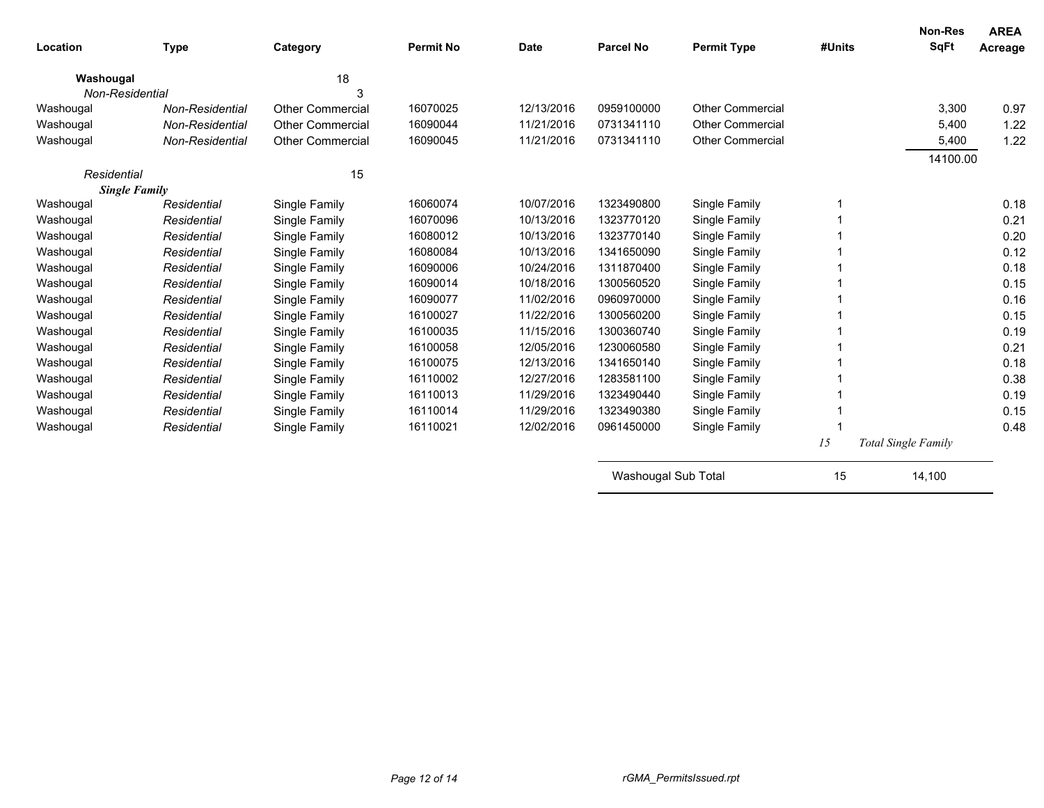| Location             | <b>Type</b>     | Category                | <b>Permit No</b> | <b>Date</b> | <b>Parcel No</b>    | <b>Permit Type</b>      | #Units | <b>Non-Res</b><br>SqFt     | <b>AREA</b><br>Acreage |
|----------------------|-----------------|-------------------------|------------------|-------------|---------------------|-------------------------|--------|----------------------------|------------------------|
| Washougal            |                 | 18                      |                  |             |                     |                         |        |                            |                        |
| Non-Residential      |                 | З                       |                  |             |                     |                         |        |                            |                        |
| Washougal            | Non-Residential | <b>Other Commercial</b> | 16070025         | 12/13/2016  | 0959100000          | <b>Other Commercial</b> |        | 3,300                      | 0.97                   |
| Washougal            | Non-Residential | Other Commercial        | 16090044         | 11/21/2016  | 0731341110          | <b>Other Commercial</b> |        | 5,400                      | 1.22                   |
| Washougal            | Non-Residential | <b>Other Commercial</b> | 16090045         | 11/21/2016  | 0731341110          | <b>Other Commercial</b> |        | 5,400                      | 1.22                   |
|                      |                 |                         |                  |             |                     |                         |        | 14100.00                   |                        |
| 15<br>Residential    |                 |                         |                  |             |                     |                         |        |                            |                        |
| <b>Single Family</b> |                 |                         |                  |             |                     |                         |        |                            |                        |
| Washougal            | Residential     | Single Family           | 16060074         | 10/07/2016  | 1323490800          | Single Family           |        |                            | 0.18                   |
| Washougal            | Residential     | Single Family           | 16070096         | 10/13/2016  | 1323770120          | Single Family           |        |                            | 0.21                   |
| Washougal            | Residential     | Single Family           | 16080012         | 10/13/2016  | 1323770140          | Single Family           |        |                            | 0.20                   |
| Washougal            | Residential     | Single Family           | 16080084         | 10/13/2016  | 1341650090          | Single Family           |        |                            | 0.12                   |
| Washougal            | Residential     | Single Family           | 16090006         | 10/24/2016  | 1311870400          | Single Family           |        |                            | 0.18                   |
| Washougal            | Residential     | Single Family           | 16090014         | 10/18/2016  | 1300560520          | Single Family           |        |                            | 0.15                   |
| Washougal            | Residential     | Single Family           | 16090077         | 11/02/2016  | 0960970000          | Single Family           |        |                            | 0.16                   |
| Washougal            | Residential     | Single Family           | 16100027         | 11/22/2016  | 1300560200          | Single Family           |        |                            | 0.15                   |
| Washougal            | Residential     | Single Family           | 16100035         | 11/15/2016  | 1300360740          | Single Family           |        |                            | 0.19                   |
| Washougal            | Residential     | Single Family           | 16100058         | 12/05/2016  | 1230060580          | Single Family           |        |                            | 0.21                   |
| Washougal            | Residential     | Single Family           | 16100075         | 12/13/2016  | 1341650140          | Single Family           |        |                            | 0.18                   |
| Washougal            | Residential     | Single Family           | 16110002         | 12/27/2016  | 1283581100          | Single Family           |        |                            | 0.38                   |
| Washougal            | Residential     | Single Family           | 16110013         | 11/29/2016  | 1323490440          | Single Family           |        |                            | 0.19                   |
| Washougal            | Residential     | Single Family           | 16110014         | 11/29/2016  | 1323490380          | Single Family           |        |                            | 0.15                   |
| Washougal            | Residential     | Single Family           | 16110021         | 12/02/2016  | 0961450000          | Single Family           |        |                            | 0.48                   |
|                      |                 |                         |                  |             |                     |                         | 15     | <b>Total Single Family</b> |                        |
|                      |                 |                         |                  |             | Washougal Sub Total |                         | 15     | 14,100                     |                        |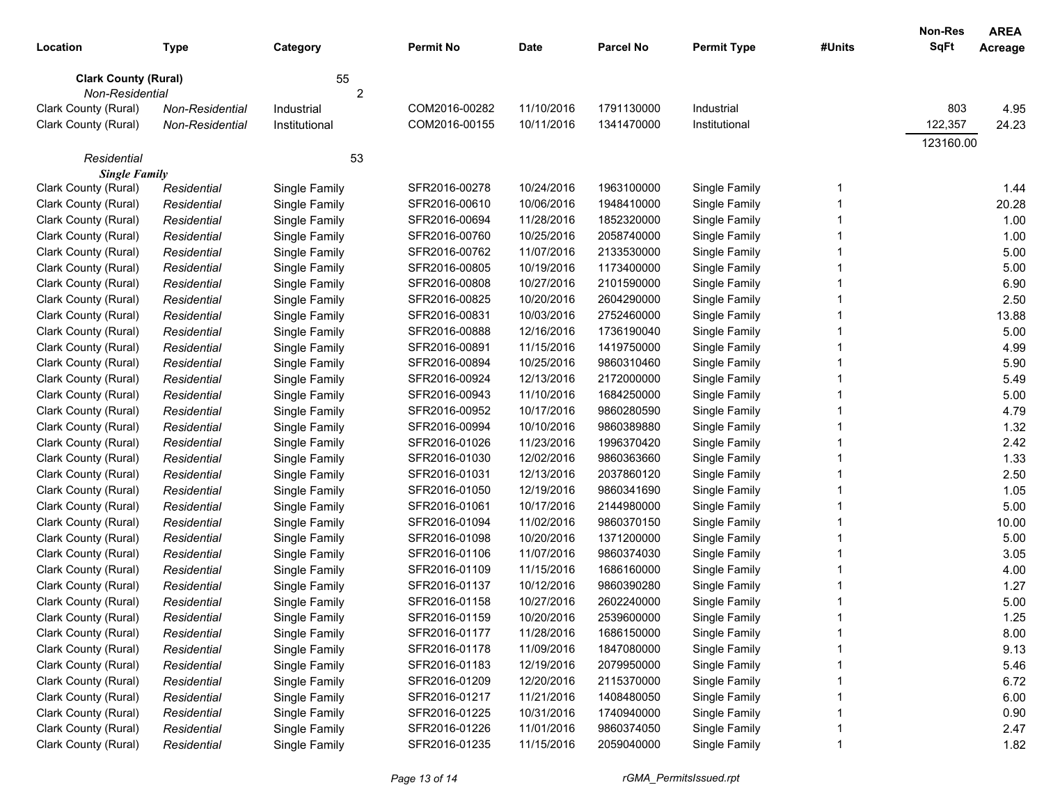| Location                                       | <b>Type</b>                | Category                       | <b>Permit No</b>               | Date                     | <b>Parcel No</b>         | <b>Permit Type</b>             | #Units | <b>Non-Res</b><br><b>SqFt</b> | <b>AREA</b><br>Acreage |
|------------------------------------------------|----------------------------|--------------------------------|--------------------------------|--------------------------|--------------------------|--------------------------------|--------|-------------------------------|------------------------|
| <b>Clark County (Rural)</b><br>Non-Residential |                            | 55                             |                                |                          |                          |                                |        |                               |                        |
|                                                |                            | 2                              | COM2016-00282                  |                          | 1791130000               |                                |        | 803                           |                        |
| Clark County (Rural)                           | Non-Residential            | Industrial                     |                                | 11/10/2016               |                          | Industrial                     |        |                               | 4.95                   |
| Clark County (Rural)                           | Non-Residential            | Institutional                  | COM2016-00155                  | 10/11/2016               | 1341470000               | Institutional                  |        | 122,357<br>123160.00          | 24.23                  |
| Residential                                    |                            | 53                             |                                |                          |                          |                                |        |                               |                        |
| <b>Single Family</b>                           |                            |                                |                                |                          |                          |                                |        |                               |                        |
| Clark County (Rural)                           | Residential                | Single Family                  | SFR2016-00278                  | 10/24/2016               | 1963100000               | Single Family                  | 1      |                               | 1.44                   |
| Clark County (Rural)                           | Residential                | Single Family                  | SFR2016-00610                  | 10/06/2016               | 1948410000               | Single Family                  |        |                               | 20.28                  |
| Clark County (Rural)                           | Residential                | Single Family                  | SFR2016-00694                  | 11/28/2016               | 1852320000               | Single Family                  |        |                               | 1.00                   |
| Clark County (Rural)                           | Residential                | Single Family                  | SFR2016-00760                  | 10/25/2016               | 2058740000               | Single Family                  |        |                               | 1.00<br>5.00           |
| Clark County (Rural)<br>Clark County (Rural)   | Residential                | Single Family                  | SFR2016-00762<br>SFR2016-00805 | 11/07/2016<br>10/19/2016 | 2133530000<br>1173400000 | Single Family                  |        |                               | 5.00                   |
| Clark County (Rural)                           | Residential<br>Residential | Single Family                  | SFR2016-00808                  | 10/27/2016               | 2101590000               | Single Family                  |        |                               | 6.90                   |
| Clark County (Rural)                           |                            | Single Family                  | SFR2016-00825                  | 10/20/2016               | 2604290000               | Single Family                  |        |                               | 2.50                   |
| Clark County (Rural)                           | Residential<br>Residential | Single Family<br>Single Family | SFR2016-00831                  | 10/03/2016               | 2752460000               | Single Family<br>Single Family |        |                               | 13.88                  |
| Clark County (Rural)                           | Residential                |                                | SFR2016-00888                  | 12/16/2016               | 1736190040               |                                |        |                               | 5.00                   |
| Clark County (Rural)                           | Residential                | Single Family                  | SFR2016-00891                  | 11/15/2016               | 1419750000               | Single Family                  |        |                               | 4.99                   |
| Clark County (Rural)                           | Residential                | Single Family                  | SFR2016-00894                  | 10/25/2016               | 9860310460               | Single Family                  |        |                               | 5.90                   |
| Clark County (Rural)                           | Residential                | Single Family                  | SFR2016-00924                  | 12/13/2016               | 2172000000               | Single Family<br>Single Family |        |                               | 5.49                   |
| Clark County (Rural)                           | Residential                | Single Family<br>Single Family | SFR2016-00943                  | 11/10/2016               | 1684250000               | Single Family                  |        |                               | 5.00                   |
| Clark County (Rural)                           | Residential                | Single Family                  | SFR2016-00952                  | 10/17/2016               | 9860280590               | Single Family                  |        |                               | 4.79                   |
| Clark County (Rural)                           | Residential                | Single Family                  | SFR2016-00994                  | 10/10/2016               | 9860389880               | Single Family                  |        |                               | 1.32                   |
| Clark County (Rural)                           | Residential                | Single Family                  | SFR2016-01026                  | 11/23/2016               | 1996370420               | Single Family                  |        |                               | 2.42                   |
| Clark County (Rural)                           | Residential                | Single Family                  | SFR2016-01030                  | 12/02/2016               | 9860363660               | Single Family                  |        |                               | 1.33                   |
| Clark County (Rural)                           | Residential                | Single Family                  | SFR2016-01031                  | 12/13/2016               | 2037860120               | Single Family                  |        |                               | 2.50                   |
| Clark County (Rural)                           | Residential                | Single Family                  | SFR2016-01050                  | 12/19/2016               | 9860341690               | Single Family                  |        |                               | 1.05                   |
| Clark County (Rural)                           | Residential                | Single Family                  | SFR2016-01061                  | 10/17/2016               | 2144980000               | Single Family                  |        |                               | 5.00                   |
| Clark County (Rural)                           | Residential                | Single Family                  | SFR2016-01094                  | 11/02/2016               | 9860370150               | Single Family                  |        |                               | 10.00                  |
| Clark County (Rural)                           | Residential                | Single Family                  | SFR2016-01098                  | 10/20/2016               | 1371200000               | Single Family                  |        |                               | 5.00                   |
| Clark County (Rural)                           | Residential                | Single Family                  | SFR2016-01106                  | 11/07/2016               | 9860374030               | Single Family                  |        |                               | 3.05                   |
| Clark County (Rural)                           | Residential                | Single Family                  | SFR2016-01109                  | 11/15/2016               | 1686160000               | Single Family                  |        |                               | 4.00                   |
| Clark County (Rural)                           | Residential                | Single Family                  | SFR2016-01137                  | 10/12/2016               | 9860390280               | Single Family                  |        |                               | 1.27                   |
| Clark County (Rural)                           | Residential                | Single Family                  | SFR2016-01158                  | 10/27/2016               | 2602240000               | Single Family                  |        |                               | 5.00                   |
| Clark County (Rural)                           | Residential                | Single Family                  | SFR2016-01159                  | 10/20/2016               | 2539600000               | Single Family                  |        |                               | 1.25                   |
| Clark County (Rural)                           | Residential                | Single Family                  | SFR2016-01177                  | 11/28/2016               | 1686150000               | Single Family                  |        |                               | 8.00                   |
| Clark County (Rural)                           | Residential                | Single Family                  | SFR2016-01178                  | 11/09/2016               | 1847080000               | Single Family                  |        |                               | 9.13                   |
| Clark County (Rural)                           | Residential                | Single Family                  | SFR2016-01183                  | 12/19/2016               | 2079950000               | Single Family                  |        |                               | 5.46                   |
| Clark County (Rural)                           | Residential                | Single Family                  | SFR2016-01209                  | 12/20/2016               | 2115370000               | Single Family                  |        |                               | 6.72                   |
| Clark County (Rural)                           | Residential                | Single Family                  | SFR2016-01217                  | 11/21/2016               | 1408480050               | Single Family                  |        |                               | 6.00                   |
| Clark County (Rural)                           | Residential                | Single Family                  | SFR2016-01225                  | 10/31/2016               | 1740940000               | Single Family                  |        |                               | 0.90                   |
| Clark County (Rural)                           | Residential                | Single Family                  | SFR2016-01226                  | 11/01/2016               | 9860374050               | Single Family                  |        |                               | 2.47                   |
| Clark County (Rural)                           | Residential                | Single Family                  | SFR2016-01235                  | 11/15/2016               | 2059040000               | Single Family                  |        |                               | 1.82                   |